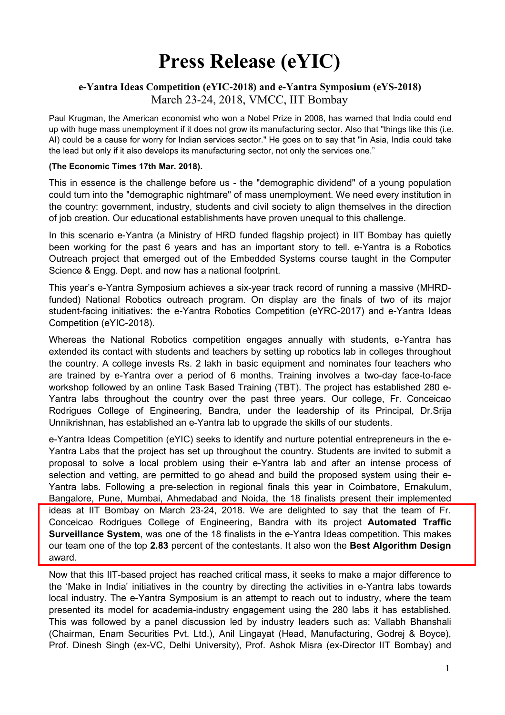## **Press Release (eYIC)**

## **e-Yantra Ideas Competition (eYIC-2018) and e-Yantra Symposium (eYS-2018)** March 23-24, 2018, VMCC, IIT Bombay

Paul Krugman, the American economist who won a Nobel Prize in 2008, has warned that India could end up with huge mass unemployment if it does not grow its manufacturing sector. Also that "things like this (i.e. AI) could be a cause for worry for Indian services sector." He goes on to say that "in Asia, India could take the lead but only if it also develops its manufacturing sector, not only the services one."

## **(The Economic Times 17th Mar. 2018).**

This in essence is the challenge before us - the "demographic dividend" of a young population could turn into the "demographic nightmare" of mass unemployment. We need every institution in the country: government, industry, students and civil society to align themselves in the direction of job creation. Our educational establishments have proven unequal to this challenge.

In this scenario e-Yantra (a Ministry of HRD funded flagship project) in IIT Bombay has quietly been working for the past 6 years and has an important story to tell. e-Yantra is a Robotics Outreach project that emerged out of the Embedded Systems course taught in the Computer Science & Engg. Dept. and now has a national footprint.

This year's e-Yantra Symposium achieves a six-year track record of running a massive (MHRDfunded) National Robotics outreach program. On display are the finals of two of its major student-facing initiatives: the e-Yantra Robotics Competition (eYRC-2017) and e-Yantra Ideas Competition (eYIC-2018).

Whereas the National Robotics competition engages annually with students, e-Yantra has extended its contact with students and teachers by setting up robotics lab in colleges throughout the country. A college invests Rs. 2 lakh in basic equipment and nominates four teachers who are trained by e-Yantra over a period of 6 months. Training involves a two-day face-to-face workshop followed by an online Task Based Training (TBT). The project has established 280 e- Yantra labs throughout the country over the past three years. Our college, Fr. Conceicao Rodrigues College of Engineering, Bandra, under the leadership of its Principal, Dr.Srija Unnikrishnan, has established an e-Yantra lab to upgrade the skills of our students.

e-Yantra Ideas Competition (eYIC) seeks to identify and nurture potential entrepreneurs in the e- Yantra Labs that the project has set up throughout the country. Students are invited to submit a proposal to solve a local problem using their e-Yantra lab and after an intense process of selection and vetting, are permitted to go ahead and build the proposed system using their e- Yantra labs. Following a pre-selection in regional finals this year in Coimbatore, Ernakulum, Bangalore, Pune, Mumbai, Ahmedabad and Noida, the 18 finalists present their implemented ideas at IIT Bombay on March 23-24, 2018. We are delighted to say that the team of Fr. Conceicao Rodrigues College of Engineering, Bandra with its project**Automated Traffic Surveillance System**, was one of the 18 finalists in the e-Yantra Ideas competition. This makes our team one of the top **2.83** percent of the contestants. It also won the **Best Algorithm Design** award.

Now that this IIT-based project has reached critical mass, it seeks to make a major difference to the 'Make in India' initiatives in the country by directing the activities in e-Yantra labs towards local industry. The e-Yantra Symposium is an attempt to reach out to industry, where the team presented its model for academia-industry engagement using the 280 labs ithas established. This was followed by a panel discussion led by industry leaders such as: Vallabh Bhanshali (Chairman, Enam Securities Pvt. Ltd.), Anil Lingayat (Head, Manufacturing, Godrej & Boyce), Prof. Dinesh Singh (ex-VC, Delhi University), Prof. Ashok Misra (ex-Director IIT Bombay) and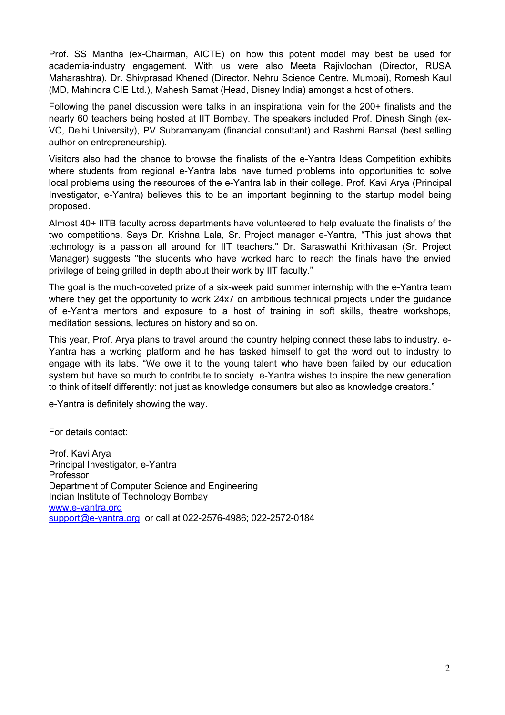Prof. SS Mantha (ex-Chairman, AICTE) on how this potent model may best be used for academia-industry engagement. With us were also Meeta Rajivlochan (Director, RUSA Maharashtra), Dr. Shivprasad Khened (Director, Nehru Science Centre, Mumbai), Romesh Kaul (MD, Mahindra CIE Ltd.), Mahesh Samat (Head, Disney India) amongst a host of others.

Following the panel discussion were talks in an inspirational vein for the 200+ finalists and the nearly 60 teachers being hosted at IIT Bombay. The speakers included Prof. Dinesh Singh (ex- VC, Delhi University), PV Subramanyam (financial consultant) and Rashmi Bansal (best selling author on entrepreneurship).

Visitors also had the chance to browse the finalists of the e-Yantra Ideas Competition exhibits where students from regional e-Yantra labs have turned problems into opportunities to solve local problems using the resources of the e-Yantra lab in their college. Prof. Kavi Arya (Principal Investigator, e-Yantra) believes this to be an important beginning to the startup model being proposed.

Almost 40+ IITB faculty across departments have volunteered to help evaluate the finalists of the two competitions. Says Dr. Krishna Lala, Sr. Project manager e-Yantra, "This just shows that technology is a passion all around for IIT teachers." Dr. Saraswathi Krithivasan (Sr. Project Manager) suggests "the students who have worked hard to reach the finals have the envied privilege of being grilled in depth about their work by IIT faculty."

The goal is the much-coveted prize of a six-week paid summer internship with the e-Yantra team where they get the opportunity to work 24x7 on ambitious technical projects under the guidance of e-Yantra mentors and exposure to a host of training in soft skills, theatre workshops, meditation sessions, lectures on history and so on.

This year, Prof. Arya plans to travel around the country helping connect these labs to industry. e- Yantra has a working platform and he has tasked himself to get the word out to industry to engage with its labs. "We owe it to the young talent who have been failed by our education system but have so much to contribute to society. e-Yantra wishes to inspire the new generation to think of itself differently: not just as knowledge consumers but also as knowledge creators."

e-Yantra is definitely showing the way.

For details contact:

Prof. Kavi Arya Principal Investigator, e-Yantra Professor Department of Computer Science and Engineering Indian Institute of Technology Bombay www.e-yantra.org support@e-yantra.org or call at 022-2576-4986; 022-2572-0184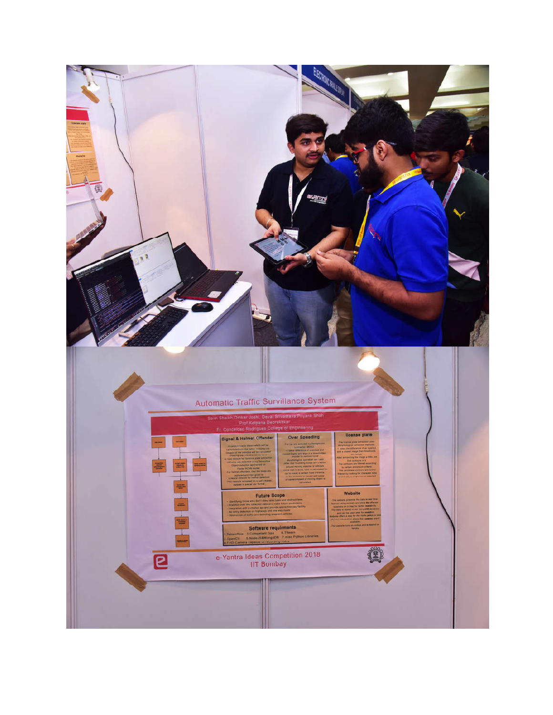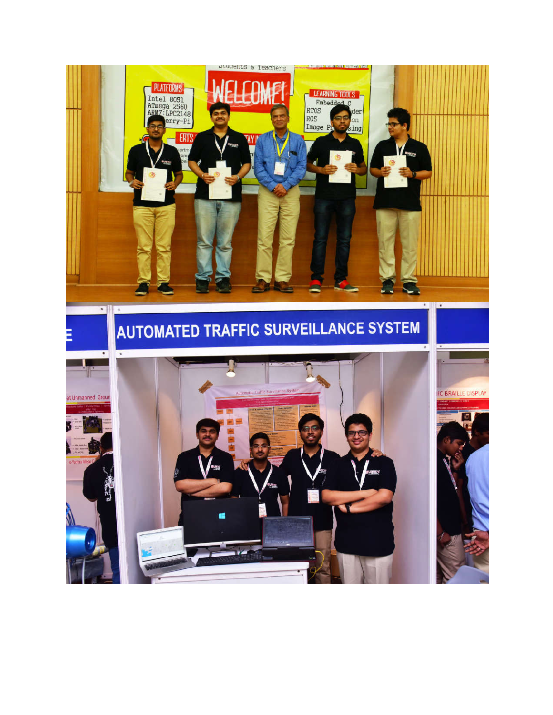